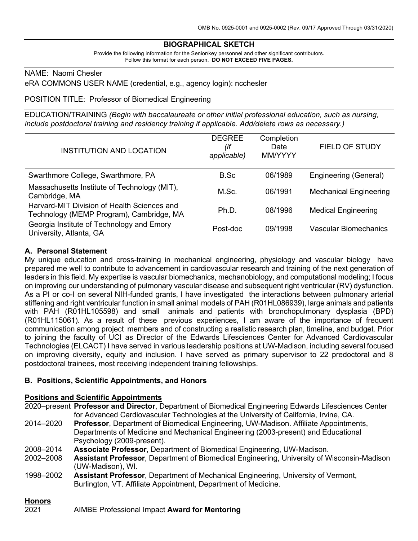## **BIOGRAPHICAL SKETCH**

Provide the following information for the Senior/key personnel and other significant contributors. Follow this format for each person. **DO NOT EXCEED FIVE PAGES.**

#### NAME: Naomi Chesler

eRA COMMONS USER NAME (credential, e.g., agency login): ncchesler

#### POSITION TITLE: Professor of Biomedical Engineering

EDUCATION/TRAINING *(Begin with baccalaureate or other initial professional education, such as nursing, include postdoctoral training and residency training if applicable. Add/delete rows as necessary.)*

| <b>INSTITUTION AND LOCATION</b>                                                         | <b>DEGREE</b><br>(it<br>applicable) | Completion<br>Date<br>MM/YYYY | <b>FIELD OF STUDY</b>         |
|-----------------------------------------------------------------------------------------|-------------------------------------|-------------------------------|-------------------------------|
| Swarthmore College, Swarthmore, PA                                                      | B.Sc                                | 06/1989                       | Engineering (General)         |
| Massachusetts Institute of Technology (MIT),<br>Cambridge, MA                           | M.Sc.                               | 06/1991                       | <b>Mechanical Engineering</b> |
| Harvard-MIT Division of Health Sciences and<br>Technology (MEMP Program), Cambridge, MA | Ph.D.                               | 08/1996                       | <b>Medical Engineering</b>    |
| Georgia Institute of Technology and Emory<br>University, Atlanta, GA                    | Post-doc                            | 09/1998                       | Vascular Biomechanics         |

#### **A. Personal Statement**

My unique education and cross-training in mechanical engineering, physiology and vascular biology have prepared me well to contribute to advancement in cardiovascular research and training of the next generation of leaders in this field. My expertise is vascular biomechanics, mechanobiology, and computational modeling; I focus on improving our understanding of pulmonary vascular disease and subsequent right ventricular (RV) dysfunction. As a PI or co-I on several NIH-funded grants, I have investigated the interactions between pulmonary arterial stiffening and right ventricular function in small animal models of PAH (R01HL086939), large animals and patients with PAH (R01HL105598) and small animals and patients with bronchopulmonary dysplasia (BPD) (R01HL115061). As a result of these previous experiences, I am aware of the importance of frequent communication among project members and of constructing a realistic research plan, timeline, and budget. Prior to joining the faculty of UCI as Director of the Edwards Lifesciences Center for Advanced Cardiovascular Technologies (ELCACT) I have served in various leadership positions at UW-Madison, including several focused on improving diversity, equity and inclusion. I have served as primary supervisor to 22 predoctoral and 8 postdoctoral trainees, most receiving independent training fellowships.

#### **B. Positions, Scientific Appointments, and Honors**

#### **Positions and Scientific Appointments**

2020–present **Professor and Director**, Department of Biomedical Engineering Edwards Lifesciences Center for Advanced Cardiovascular Technologies at the University of California, Irvine, CA. 2014–2020 **Professor**, Department of Biomedical Engineering, UW-Madison. Affiliate Appointments, Departments of Medicine and Mechanical Engineering (2003-present) and Educational Psychology (2009-present). 2008–2014 **Associate Professor**, Department of Biomedical Engineering, UW-Madison. 2002–2008 **Assistant Professor**, Department of Biomedical Engineering, University of Wisconsin-Madison (UW-Madison), WI. 1998–2002 **Assistant Professor**, Department of Mechanical Engineering, University of Vermont, Burlington, VT. Affiliate Appointment, Department of Medicine.

# **Honors**

| 2021 | AIMBE Professional Impact Award for Mentoring |
|------|-----------------------------------------------|
|------|-----------------------------------------------|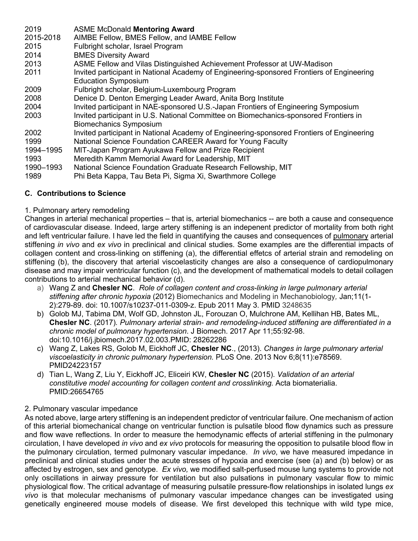| 2019      | <b>ASME McDonald Mentoring Award</b>                                                      |
|-----------|-------------------------------------------------------------------------------------------|
| 2015-2018 | AIMBE Fellow, BMES Fellow, and IAMBE Fellow                                               |
| 2015      | Fulbright scholar, Israel Program                                                         |
| 2014      | <b>BMES Diversity Award</b>                                                               |
| 2013      | ASME Fellow and Vilas Distinguished Achievement Professor at UW-Madison                   |
| 2011      | Invited participant in National Academy of Engineering-sponsored Frontiers of Engineering |
|           | <b>Education Symposium</b>                                                                |
| 2009      | Fulbright scholar, Belgium-Luxembourg Program                                             |
| 2008      | Denice D. Denton Emerging Leader Award, Anita Borg Institute                              |
| 2004      | Invited participant in NAE-sponsored U.S.-Japan Frontiers of Engineering Symposium        |
| 2003      | Invited participant in U.S. National Committee on Biomechanics-sponsored Frontiers in     |
|           | <b>Biomechanics Symposium</b>                                                             |
| 2002      | Invited participant in National Academy of Engineering-sponsored Frontiers of Engineering |
| 1999      | National Science Foundation CAREER Award for Young Faculty                                |
| 1994-1995 | MIT-Japan Program Ayukawa Fellow and Prize Recipient                                      |
| 1993      | Meredith Kamm Memorial Award for Leadership, MIT                                          |
| 1990-1993 | National Science Foundation Graduate Research Fellowship, MIT                             |
| 1989      | Phi Beta Kappa, Tau Beta Pi, Sigma Xi, Swarthmore College                                 |

# **C. Contributions to Science**

### 1. Pulmonary artery remodeling

Changes in arterial mechanical properties – that is, arterial biomechanics -- are both a cause and consequence of cardiovascular disease. Indeed, large artery stiffening is an indepenent predictor of mortality from both right and left ventricular failure. I have led the field in quantifying the causes and consequences of pulmonary arterial stiffening *in vivo* and *ex vivo* in preclinical and clinical studies. Some examples are the differential impacts of collagen content and cross-linking on stiffening (a), the differential effetcs of arterial strain and remodeling on stiffening (b), the discovery that arterial viscoelasticity changes are also a consequence of cardiopulmonary disease and may impair ventricular function (c), and the development of mathematical models to detail collagen contributions to arterial mechanical behavior (d).

- a) Wang Z and **Chesler NC**. *Role of collagen content and cross-linking in large pulmonary arterial stiffening after chronic hypoxia* (2012) Biomechanics and Modeling in Mechanobiology*,* Jan;11(1- 2):279-89. doi: 10.1007/s10237-011-0309-z. Epub 2011 May 3. PMID 3248635
- b) Golob MJ, Tabima DM, Wolf GD, Johnston JL, Forouzan O, Mulchrone AM, Kellihan HB, Bates ML, **Chesler NC**. (2017)*. Pulmonary arterial strain- and remodeling-induced stiffening are differentiated in a chronic model of pulmonary hypertension*. J Biomech. 2017 Apr 11;55:92-98. doi:10.1016/j.jbiomech.2017.02.003.PMID: 28262286
- c) Wang Z, Lakes RS, Golob M, Eickhoff JC, **Chesler NC**., (2013). *Changes in large pulmonary arterial viscoelasticity in chronic pulmonary hypertension.* PLoS One. 2013 Nov 6;8(11):e78569. PMID24223157
- d) Tian L, Wang Z, Liu Y, Eickhoff JC, Eliceiri KW, **Chesler NC** (2015). *Validation of an arterial constitutive model accounting for collagen content and crosslinking.* Acta biomaterialia. PMID:26654765

## 2. Pulmonary vascular impedance

As noted above, large artery stiffening is an independent predictor of ventricular failure. One mechanism of action of this arterial biomechanical change on ventricular function is pulsatile blood flow dynamics such as pressure and flow wave reflections. In order to measure the hemodynamic effects of arterial stiffening in the pulmonary circulation, I have developed *in vivo* and *ex vivo* protocols for measuring the opposition to pulsatile blood flow in the pulmonary circulation, termed pulmonary vascular impedance. *In vivo*, we have measured impedance in preclinical and clinical studies under the acute stresses of hypoxia and exercise (see (a) and (b) below) or as affected by estrogen, sex and genotype. *Ex vivo,* we modified salt-perfused mouse lung systems to provide not only oscillations in airway pressure for ventilation but also pulsations in pulmonary vascular flow to mimic physiological flow. The critical advantage of measuring pulsatile pressure-flow relationships in isolated lungs *ex vivo* is that molecular mechanisms of pulmonary vascular impedance changes can be investigated using genetically engineered mouse models of disease. We first developed this technique with wild type mice,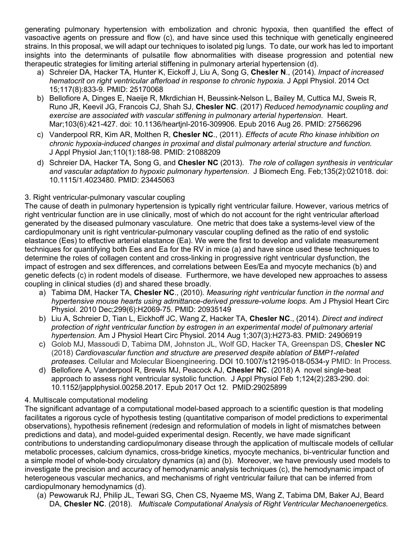generating pulmonary hypertension with embolization and chronic hypoxia, then quantified the effect of vasoactive agents on pressure and flow (c), and have since used this technique with genetically engineered strains. In this proposal, we will adapt our techniques to isolated pig lungs. To date, our work has led to important insights into the determinants of pulsatile flow abnormalities with disease progression and potential new therapeutic strategies for limiting arterial stiffening in pulmonary arterial hypertension (d).

- a) Schreier DA, Hacker TA, Hunter K, Eickoff J, Liu A, Song G, **Chesler N**., (2014). *Impact of increased hematocrit on right ventricular afterload in response to chronic hypoxia.* J Appl Physiol. 2014 Oct 15;117(8):833-9. PMID: 25170068
- b) Bellofiore A, Dinges E, Naeije R, Mkrdichian H, Beussink-Nelson L, Bailey M, Cuttica MJ, Sweis R, Runo JR, Keevil JG, Francois CJ, Shah SJ, **Chesler NC**. (2017) *Reduced hemodynamic coupling and exercise are associated with vascular stiffening in pulmonary arterial hypertension*. Heart. Mar;103(6):421-427. doi: 10.1136/heartjnl-2016-309906. Epub 2016 Aug 26. PMID: 27566296
- c) Vanderpool RR, Kim AR, Molthen R, **Chesler NC**., (2011). *Effects of acute Rho kinase inhibition on chronic hypoxia-induced changes in proximal and distal pulmonary arterial structure and function.*  J Appl Physiol Jan;110(1):188-98. PMID: 21088209
- d) Schreier DA, Hacker TA, Song G, and **Chesler NC** (2013). *The role of collagen synthesis in ventricular and vascular adaptation to hypoxic pulmonary hypertension*. J Biomech Eng. Feb;135(2):021018. doi: 10.1115/1.4023480. PMID: 23445063

### 3. Right ventricular-pulmonary vascular coupling

The cause of death in pulmonary hypertension is typically right ventricular failure. However, various metrics of right ventricular function are in use clinically, most of which do not account for the right ventricular afterload generated by the diseased pulmonary vasculature. One metric that does take a systems-level view of the cardiopulmonary unit is right ventricular-pulmonary vascular coupling defined as the ratio of end systolic elastance (Ees) to effective arterial elastance (Ea). We were the first to develop and validate measurement techniques for quantifying both Ees and Ea for the RV in mice (a) and have since used these techniques to determine the roles of collagen content and cross-linking in progressive right ventricular dysfunction, the impact of estrogen and sex differences, and correlations between Ees/Ea and myocyte mechanics (b) and genetic defects (c) in rodent models of disease. Furthermore, we have developed new approaches to assess coupling in clinical studies (d) and shared these broadly.

- a) Tabima DM, Hacker TA, **Chesler NC**., (2010). *Measuring right ventricular function in the normal and hypertensive mouse hearts using admittance-derived pressure-volume loops.* Am J Physiol Heart Circ Physiol. 2010 Dec;299(6):H2069-75. PMID: 20935149
- b) Liu A, Schreier D, Tian L, Eickhoff JC, Wang Z, Hacker TA, **Chesler NC**., (2014). *Direct and indirect protection of right ventricular function by estrogen in an experimental model of pulmonary arterial hypertension.* Am J Physiol Heart Circ Physiol. 2014 Aug 1;307(3):H273-83. PMID: 24906919
- c) Golob MJ, Massoudi D, Tabima DM, Johnston JL, Wolf GD, Hacker TA, Greenspan DS, **Chesler NC** (2018) *Cardiovascular function and structure are preserved despite ablation of BMP1-related proteases.* Cellular and Molecular Bioengineering. DOI 10.1007/s12195-018-0534-y PMID: In Process*.*
- d) Bellofiore A, Vanderpool R, Brewis MJ, Peacock AJ, **Chesler NC**. (2018) A novel single-beat approach to assess right ventricular systolic function. J Appl Physiol Feb 1;124(2):283-290. doi: 10.1152/japplphysiol.00258.2017. Epub 2017 Oct 12. PMID:29025899

## 4. Multiscale computational modeling

The significant advantage of a computational model-based approach to a scientific question is that modeling facilitates a rigorous cycle of hypothesis testing (quantitative comparison of model predictions to experimental observations), hypothesis refinement (redesign and reformulation of models in light of mismatches between predictions and data), and model-guided experimental design. Recently, we have made significant contributions to understanding cardiopulmonary disease through the application of multiscale models of cellular metabolic processes, calcium dynamics, cross-bridge kinetics, myocyte mechanics, bi-ventricular function and a simple model of whole-body circulatory dynamics (a) and (b). Moreover, we have previously used models to investigate the precision and accuracy of hemodynamic analysis techniques (c), the hemodynamic impact of heterogeneous vascular mechanics, and mechanisms of right ventricular failure that can be inferred from cardiopulmonary hemodynamics (d).

(a) Pewowaruk RJ, Philip JL, Tewari SG, Chen CS, Nyaeme MS, Wang Z, Tabima DM, Baker AJ, Beard DA, **Chesler NC**. (2018). *Multiscale Computational Analysis of Right Ventricular Mechanoenergetics.*